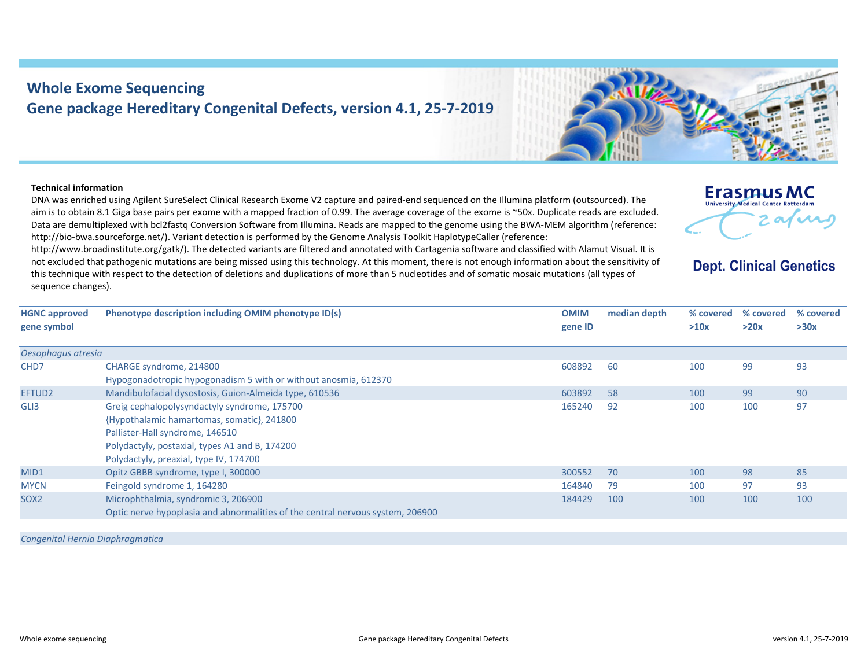## **Whole Exome Sequencing Gene package Hereditary Congenital Defects, version 4.1, 25‐7‐2019**

## **Technical information**

**HGNC approved gene symbol**

*Oesophagus atresia*

CHD7 CHARGE syndrome, 214800

SOX2 Microphthalmia, syndromic 3, 206900

DNA was enriched using Agilent SureSelect Clinical Research Exome V2 capture and paired‐end sequenced on the Illumina platform (outsourced). The aim is to obtain 8.1 Giga base pairs per exome with <sup>a</sup> mapped fraction of 0.99. The average coverage of the exome is ~50x. Duplicate reads are excluded. Data are demultiplexed with bcl2fastq Conversion Software from Illumina. Reads are mapped to the genome using the BWA‐MEM algorithm (reference: http://bio‐bwa.sourceforge.net/). Variant detection is performed by the Genome Analysis Toolkit HaplotypeCaller (reference:

http://www.broadinstitute.org/gatk/). The detected variants are filtered and annotated with Cartagenia software and classified with Alamut Visual. It is not excluded that pathogenic mutations are being missed using this technology. At this moment, there is not enough information about the sensitivity of this technique with respect to the detection of deletions and duplications of more than 5 nucleotides and of somatic mosaic mutations (all types of sequence changes).

**Phenotype description including OMIM phenotype ID(s) OMIM**

Hypogonadotropic hypogonadism 5 with or without anosmia, 612370 EFTUD2 Mandibulofacial dysostosis, Guion‐Almeida type, 610536 603892 58 100 99 90 GLI3 Greig cephalopolysyndactyly syndrome, 175700 {Hypothalamic hamartomas, somatic}, 241800 Pallister‐Hall syndrome, 146510 Polydactyly, postaxial, types A1 and B, 174200 Polydactyly, preaxial, type IV, 174700 165240 92 100 100 97MID1 0pitz GBBB syndrome, type I, 300000 3000 300552 70 300552 70 300552 70 98 85 MYCN Feingold syndrome 1, 164280 164840 164840 164840 164840 164840 164840 164840 164840 164840 164840 164840 164840 164840 164840 164840 164840 164840 164840 164840 164840 164840 164840 164840 164840 164840 164840 164840

Optic nerve hypoplasia and abnormalities of the central nervous system, 206900

*Congenital Hernia Diaphragmatica*



**gene ID**

**median**



## **Dept. Clinical Genetics**

**% covered >20x**

**% covered >30x**

 **depth % covered >10x**

608892 60 100 99 93

184429 100 100 100 100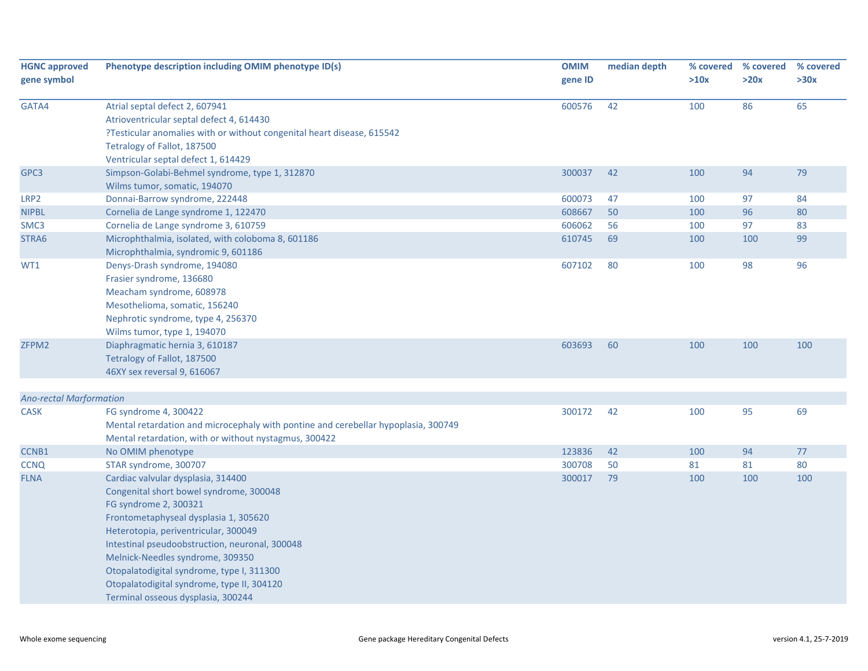| <b>HGNC approved</b><br>gene symbol | Phenotype description including OMIM phenotype ID(s)                                                                                                                                                                                                                                                                                                                                                           | <b>OMIM</b><br>gene ID | median depth | % covered<br>>10x | % covered<br>>20x | % covered<br>>30x |
|-------------------------------------|----------------------------------------------------------------------------------------------------------------------------------------------------------------------------------------------------------------------------------------------------------------------------------------------------------------------------------------------------------------------------------------------------------------|------------------------|--------------|-------------------|-------------------|-------------------|
| GATA4                               | Atrial septal defect 2, 607941<br>Atrioventricular septal defect 4, 614430<br>?Testicular anomalies with or without congenital heart disease, 615542<br>Tetralogy of Fallot, 187500<br>Ventricular septal defect 1, 614429                                                                                                                                                                                     | 600576                 | 42           | 100               | 86                | 65                |
| GPC3                                | Simpson-Golabi-Behmel syndrome, type 1, 312870<br>Wilms tumor, somatic, 194070                                                                                                                                                                                                                                                                                                                                 | 300037                 | 42           | 100               | 94                | 79                |
| LRP2                                | Donnai-Barrow syndrome, 222448                                                                                                                                                                                                                                                                                                                                                                                 | 600073                 | 47           | 100               | 97                | 84                |
| <b>NIPBL</b>                        | Cornelia de Lange syndrome 1, 122470                                                                                                                                                                                                                                                                                                                                                                           | 608667                 | 50           | 100               | 96                | 80                |
| SMC3                                | Cornelia de Lange syndrome 3, 610759                                                                                                                                                                                                                                                                                                                                                                           | 606062                 | 56           | 100               | 97                | 83                |
| STRA6                               | Microphthalmia, isolated, with coloboma 8, 601186<br>Microphthalmia, syndromic 9, 601186                                                                                                                                                                                                                                                                                                                       | 610745                 | 69           | 100               | 100               | 99                |
| WT1                                 | Denys-Drash syndrome, 194080<br>Frasier syndrome, 136680<br>Meacham syndrome, 608978<br>Mesothelioma, somatic, 156240<br>Nephrotic syndrome, type 4, 256370<br>Wilms tumor, type 1, 194070                                                                                                                                                                                                                     | 607102                 | 80           | 100               | 98                | 96                |
| ZFPM2                               | Diaphragmatic hernia 3, 610187<br>Tetralogy of Fallot, 187500<br>46XY sex reversal 9, 616067                                                                                                                                                                                                                                                                                                                   | 603693                 | 60           | 100               | 100               | 100               |
| <b>Ano-rectal Marformation</b>      |                                                                                                                                                                                                                                                                                                                                                                                                                |                        |              |                   |                   |                   |
| <b>CASK</b>                         | FG syndrome 4, 300422<br>Mental retardation and microcephaly with pontine and cerebellar hypoplasia, 300749<br>Mental retardation, with or without nystagmus, 300422                                                                                                                                                                                                                                           | 300172                 | 42           | 100               | 95                | 69                |
| CCNB1                               | No OMIM phenotype                                                                                                                                                                                                                                                                                                                                                                                              | 123836                 | 42           | 100               | 94                | 77                |
| <b>CCNQ</b>                         | STAR syndrome, 300707                                                                                                                                                                                                                                                                                                                                                                                          | 300708                 | 50           | 81                | 81                | 80                |
| <b>FLNA</b>                         | Cardiac valvular dysplasia, 314400<br>Congenital short bowel syndrome, 300048<br>FG syndrome 2, 300321<br>Frontometaphyseal dysplasia 1, 305620<br>Heterotopia, periventricular, 300049<br>Intestinal pseudoobstruction, neuronal, 300048<br>Melnick-Needles syndrome, 309350<br>Otopalatodigital syndrome, type I, 311300<br>Otopalatodigital syndrome, type II, 304120<br>Terminal osseous dysplasia, 300244 | 300017                 | 79           | 100               | 100               | 100               |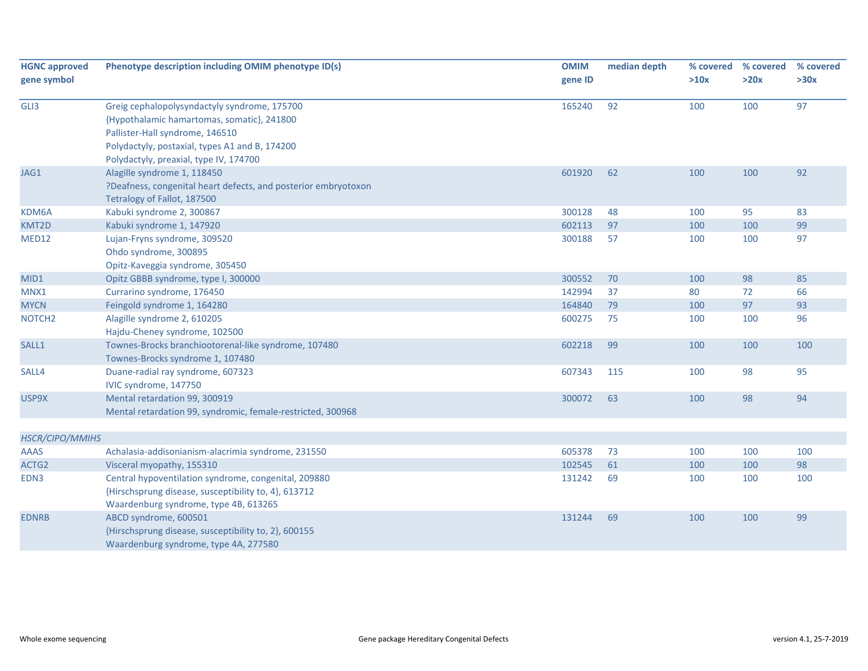| <b>HGNC approved</b> | Phenotype description including OMIM phenotype ID(s)           | <b>OMIM</b> | median depth | % covered | % covered | % covered |
|----------------------|----------------------------------------------------------------|-------------|--------------|-----------|-----------|-----------|
| gene symbol          |                                                                | gene ID     |              | >10x      | >20x      | >30x      |
|                      |                                                                |             |              |           |           |           |
| GLI3                 | Greig cephalopolysyndactyly syndrome, 175700                   | 165240      | 92           | 100       | 100       | 97        |
|                      | {Hypothalamic hamartomas, somatic}, 241800                     |             |              |           |           |           |
|                      | Pallister-Hall syndrome, 146510                                |             |              |           |           |           |
|                      | Polydactyly, postaxial, types A1 and B, 174200                 |             |              |           |           |           |
|                      | Polydactyly, preaxial, type IV, 174700                         |             |              |           |           |           |
| JAG1                 | Alagille syndrome 1, 118450                                    | 601920      | 62           | 100       | 100       | 92        |
|                      | ?Deafness, congenital heart defects, and posterior embryotoxon |             |              |           |           |           |
|                      | Tetralogy of Fallot, 187500                                    |             |              |           |           |           |
| KDM6A                | Kabuki syndrome 2, 300867                                      | 300128      | 48           | 100       | 95        | 83        |
| KMT2D                | Kabuki syndrome 1, 147920                                      | 602113      | 97           | 100       | 100       | 99        |
| MED12                | Lujan-Fryns syndrome, 309520                                   | 300188      | 57           | 100       | 100       | 97        |
|                      | Ohdo syndrome, 300895                                          |             |              |           |           |           |
|                      | Opitz-Kaveggia syndrome, 305450                                |             |              |           |           |           |
| MID1                 | Opitz GBBB syndrome, type I, 300000                            | 300552      | 70           | 100       | 98        | 85        |
| MNX1                 | Currarino syndrome, 176450                                     | 142994      | 37           | 80        | 72        | 66        |
| <b>MYCN</b>          | Feingold syndrome 1, 164280                                    | 164840      | 79           | 100       | 97        | 93        |
| NOTCH <sub>2</sub>   | Alagille syndrome 2, 610205                                    | 600275      | 75           | 100       | 100       | 96        |
|                      | Hajdu-Cheney syndrome, 102500                                  |             |              |           |           |           |
| SALL1                | Townes-Brocks branchiootorenal-like syndrome, 107480           | 602218      | 99           | 100       | 100       | 100       |
|                      | Townes-Brocks syndrome 1, 107480                               |             |              |           |           |           |
| SALL4                | Duane-radial ray syndrome, 607323                              | 607343      | 115          | 100       | 98        | 95        |
|                      | IVIC syndrome, 147750                                          |             |              |           |           |           |
| USP9X                | Mental retardation 99, 300919                                  | 300072      | 63           | 100       | 98        | 94        |
|                      | Mental retardation 99, syndromic, female-restricted, 300968    |             |              |           |           |           |
|                      |                                                                |             |              |           |           |           |
| HSCR/CIPO/MMIHS      |                                                                |             |              |           |           |           |
| <b>AAAS</b>          | Achalasia-addisonianism-alacrimia syndrome, 231550             | 605378      | 73           | 100       | 100       | 100       |
| ACTG2                | Visceral myopathy, 155310                                      | 102545      | 61           | 100       | 100       | 98        |
| EDN3                 | Central hypoventilation syndrome, congenital, 209880           | 131242      | 69           | 100       | 100       | 100       |
|                      | {Hirschsprung disease, susceptibility to, 4}, 613712           |             |              |           |           |           |
|                      | Waardenburg syndrome, type 4B, 613265                          |             |              |           |           |           |
| <b>EDNRB</b>         | ABCD syndrome, 600501                                          | 131244      | 69           | 100       | 100       | 99        |
|                      | {Hirschsprung disease, susceptibility to, 2}, 600155           |             |              |           |           |           |
|                      | Waardenburg syndrome, type 4A, 277580                          |             |              |           |           |           |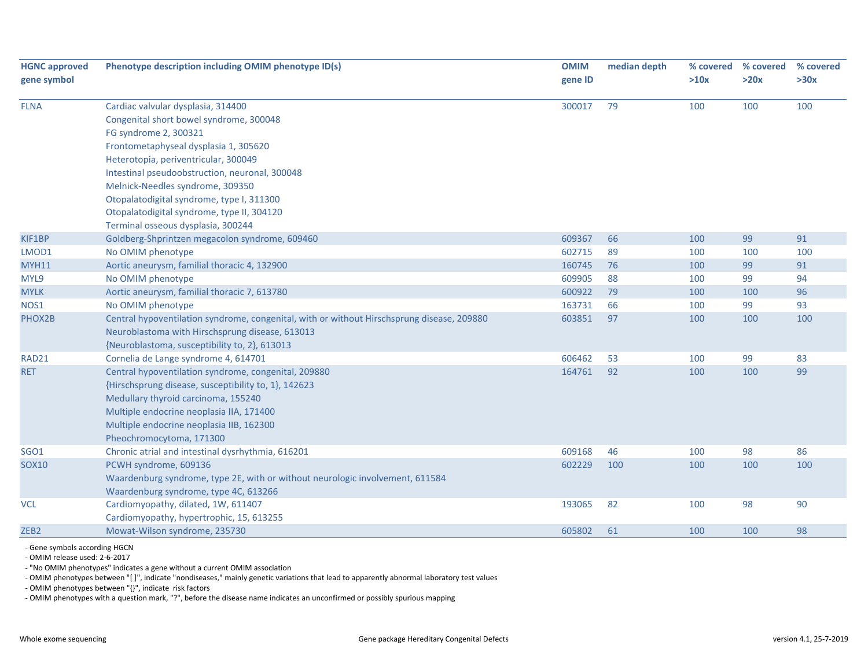| <b>HGNC approved</b><br>gene symbol | Phenotype description including OMIM phenotype ID(s)                                       |         | median depth | % covered | % covered | % covered |
|-------------------------------------|--------------------------------------------------------------------------------------------|---------|--------------|-----------|-----------|-----------|
|                                     |                                                                                            | gene ID |              | >10x      | >20x      | >30x      |
| <b>FLNA</b>                         | Cardiac valvular dysplasia, 314400                                                         | 300017  | 79           | 100       | 100       | 100       |
|                                     | Congenital short bowel syndrome, 300048                                                    |         |              |           |           |           |
|                                     | FG syndrome 2, 300321                                                                      |         |              |           |           |           |
|                                     | Frontometaphyseal dysplasia 1, 305620                                                      |         |              |           |           |           |
|                                     | Heterotopia, periventricular, 300049                                                       |         |              |           |           |           |
|                                     | Intestinal pseudoobstruction, neuronal, 300048                                             |         |              |           |           |           |
|                                     | Melnick-Needles syndrome, 309350                                                           |         |              |           |           |           |
|                                     | Otopalatodigital syndrome, type I, 311300                                                  |         |              |           |           |           |
|                                     | Otopalatodigital syndrome, type II, 304120                                                 |         |              |           |           |           |
|                                     | Terminal osseous dysplasia, 300244                                                         |         |              |           |           |           |
| KIF1BP                              | Goldberg-Shprintzen megacolon syndrome, 609460                                             | 609367  | 66           | 100       | 99        | 91        |
| LMOD1                               | No OMIM phenotype                                                                          | 602715  | 89           | 100       | 100       | 100       |
| <b>MYH11</b>                        | Aortic aneurysm, familial thoracic 4, 132900                                               | 160745  | 76           | 100       | 99        | 91        |
| MYL9                                | No OMIM phenotype                                                                          | 609905  | 88           | 100       | 99        | 94        |
| <b>MYLK</b>                         | Aortic aneurysm, familial thoracic 7, 613780                                               | 600922  | 79           | 100       | 100       | 96        |
| NOS1                                | No OMIM phenotype                                                                          | 163731  | 66           | 100       | 99        | 93        |
| PHOX2B                              | Central hypoventilation syndrome, congenital, with or without Hirschsprung disease, 209880 | 603851  | 97           | 100       | 100       | 100       |
|                                     | Neuroblastoma with Hirschsprung disease, 613013                                            |         |              |           |           |           |
|                                     | {Neuroblastoma, susceptibility to, 2}, 613013                                              |         |              |           |           |           |
| RAD21                               | Cornelia de Lange syndrome 4, 614701                                                       | 606462  | 53           | 100       | 99        | 83        |
| <b>RET</b>                          | Central hypoventilation syndrome, congenital, 209880                                       | 164761  | 92           | 100       | 100       | 99        |
|                                     | {Hirschsprung disease, susceptibility to, 1}, 142623                                       |         |              |           |           |           |
|                                     | Medullary thyroid carcinoma, 155240                                                        |         |              |           |           |           |
|                                     | Multiple endocrine neoplasia IIA, 171400                                                   |         |              |           |           |           |
|                                     | Multiple endocrine neoplasia IIB, 162300                                                   |         |              |           |           |           |
|                                     | Pheochromocytoma, 171300                                                                   |         |              |           |           |           |
| <b>SGO1</b>                         | Chronic atrial and intestinal dysrhythmia, 616201                                          | 609168  | 46           | 100       | 98        | 86        |
| <b>SOX10</b>                        | PCWH syndrome, 609136                                                                      | 602229  | 100          | 100       | 100       | 100       |
|                                     | Waardenburg syndrome, type 2E, with or without neurologic involvement, 611584              |         |              |           |           |           |
|                                     | Waardenburg syndrome, type 4C, 613266                                                      |         |              |           |           |           |
| <b>VCL</b>                          | Cardiomyopathy, dilated, 1W, 611407                                                        | 193065  | 82           | 100       | 98        | 90        |
|                                     | Cardiomyopathy, hypertrophic, 15, 613255                                                   |         |              |           |           |           |
| ZEB <sub>2</sub>                    | Mowat-Wilson syndrome, 235730                                                              | 605802  | 61           | 100       | 100       | 98        |

‐ Gene symbols according HGCN

‐ OMIM release used: 2‐6‐2017

‐ "No OMIM phenotypes" indicates <sup>a</sup> gene without <sup>a</sup> current OMIM association

‐ OMIM phenotypes between "[ ]", indicate "nondiseases," mainly genetic variations that lead to apparently abnormal laboratory test values

‐ OMIM phenotypes between "{}", indicate risk factors

‐ OMIM phenotypes with <sup>a</sup> question mark, "?", before the disease name indicates an unconfirmed or possibly spurious mapping